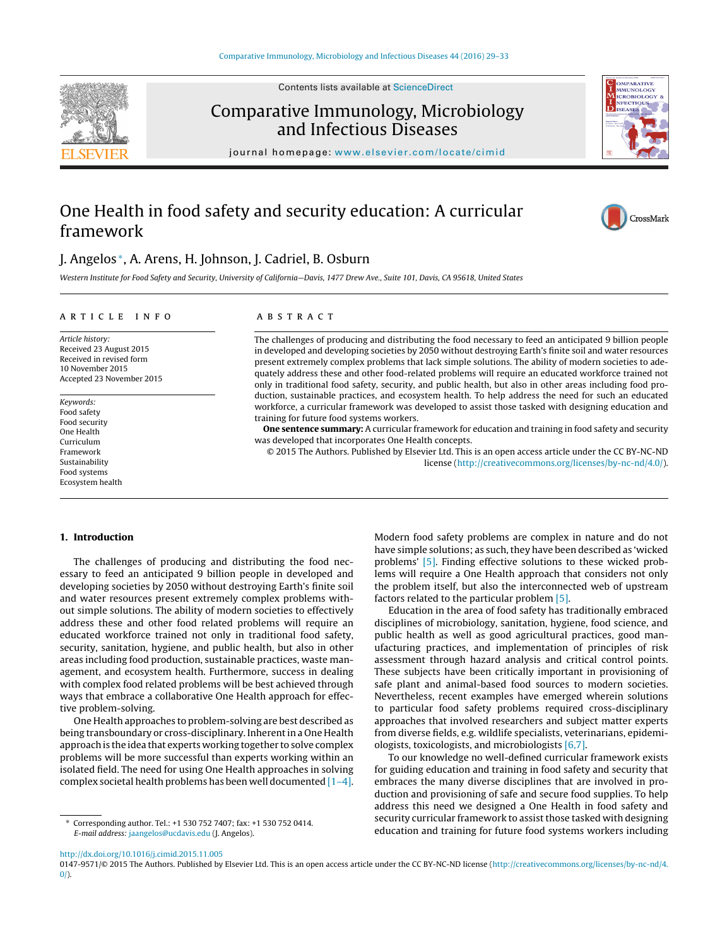Contents lists available at [ScienceDirect](http://www.sciencedirect.com/science/journal/01479571)

# Comparative Immunology, Microbiology and Infectious Diseases

iournal homepage: [www.elsevier.com/locate/cimid](http://www.elsevier.com/locate/cimid)

## One Health in food safety and security education: A curricular framework

## J. Angelos <sup>∗</sup>, A. Arens, H. Johnson, J. Cadriel, B. Osburn

Western Institute for Food Safety and Security, University of California—Davis, 1477 Drew Ave., Suite 101, Davis, CA 95618, United States

#### ARTICLE INFO

Article history: Received 23 August 2015 Received in revised form 10 November 2015 Accepted 23 November 2015

Keywords: Food safety Food security One Health Curriculum Framework Sustainability Food systems Ecosystem health

### A B S T R A C T

The challenges of producing and distributing the food necessary to feed an anticipated 9 billion people in developed and developing societies by 2050 without destroying Earth's finite soil and water resources present extremely complex problems that lack simple solutions. The ability of modern societies to adequately address these and other food-related problems will require an educated workforce trained not only in traditional food safety, security, and public health, but also in other areas including food production, sustainable practices, and ecosystem health. To help address the need for such an educated workforce, a curricular framework was developed to assist those tasked with designing education and training for future food systems workers.

**One sentence summary:** A curricular framework for education and training in food safety and security was developed that incorporates One Health concepts.

© 2015 The Authors. Published by Elsevier Ltd. This is an open access article under the CC BY-NC-ND license [\(http://creativecommons.org/licenses/by-nc-nd/4.0/](http://creativecommons.org/licenses/by-nc-nd/4.0/)).

#### **1. Introduction**

The challenges of producing and distributing the food necessary to feed an anticipated 9 billion people in developed and developing societies by 2050 without destroying Earth's finite soil and water resources present extremely complex problems without simple solutions. The ability of modern societies to effectively address these and other food related problems will require an educated workforce trained not only in traditional food safety, security, sanitation, hygiene, and public health, but also in other areas including food production, sustainable practices, waste management, and ecosystem health. Furthermore, success in dealing with complex food related problems will be best achieved through ways that embrace a collaborative One Health approach for effective problem-solving.

One Health approaches to problem-solving are best described as being transboundary or cross-disciplinary. Inherentin a One Health approach is the idea that experts working together to solve complex problems will be more successful than experts working within an isolated field. The need for using One Health approaches in solving complex societal health problems has been well documented  $[1-4]$ .

Modern food safety problems are complex in nature and do not have simple solutions; as such, they have been described as 'wicked problems' [\[5\].](#page-4-0) Finding effective solutions to these wicked problems will require a One Health approach that considers not only the problem itself, but also the interconnected web of upstream factors related to the particular problem [\[5\].](#page-4-0)

Education in the area of food safety has traditionally embraced disciplines of microbiology, sanitation, hygiene, food science, and public health as well as good agricultural practices, good manufacturing practices, and implementation of principles of risk assessment through hazard analysis and critical control points. These subjects have been critically important in provisioning of safe plant and animal-based food sources to modern societies. Nevertheless, recent examples have emerged wherein solutions to particular food safety problems required cross-disciplinary approaches that involved researchers and subject matter experts from diverse fields, e.g. wildlife specialists, veterinarians, epidemiologists, toxicologists, and microbiologists [\[6,7\].](#page-4-0)

To our knowledge no well-defined curricular framework exists for guiding education and training in food safety and security that embraces the many diverse disciplines that are involved in production and provisioning of safe and secure food supplies. To help address this need we designed a One Health in food safety and security curricular framework to assist those tasked with designing education and training for future food systems workers including

[http://dx.doi.org/10.1016/j.cimid.2015.11.005](dx.doi.org/10.1016/j.cimid.2015.11.005)







<sup>∗</sup> Corresponding author. Tel.: +1 530 752 7407; fax: +1 530 752 0414. E-mail address: [jaangelos@ucdavis.edu](mailto:jaangelos@ucdavis.edu) (J. Angelos).

<sup>0147-9571/© 2015</sup> The Authors. Published by Elsevier Ltd. This is an open access article under the CC BY-NC-ND license [\(http://creativecommons.org/licenses/by-nc-nd/4.](http://creativecommons.org/licenses/by-nc-nd/4.0/)  $0/$ ).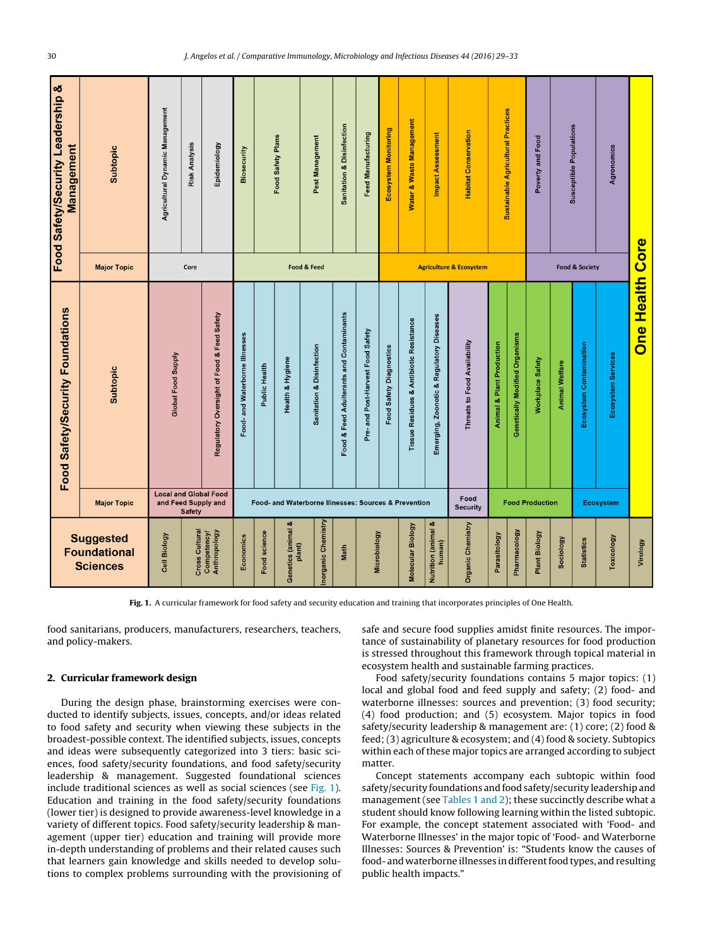| Food Safety/Security Leadership &<br>Management            | Subtopic                                                                                   | Agricultural Dynamic Management | Risk Analysis  | Epidemiology                                         | Biosecurity                    |               | Food Safety Plans            | Pest Management           | Sanitation & Disinfection                | <b>Feed Manufacturing</b>          | Ecosystem Monitoring    | Water & Waste Management                | <b>Impact Assessment</b>                 | <b>Habitat Conservation</b>  |                                      | Sustainable Agricultural Practices | Poverty and Food |                       | Susceptible Populations | Agronomics         |                        |
|------------------------------------------------------------|--------------------------------------------------------------------------------------------|---------------------------------|----------------|------------------------------------------------------|--------------------------------|---------------|------------------------------|---------------------------|------------------------------------------|------------------------------------|-------------------------|-----------------------------------------|------------------------------------------|------------------------------|--------------------------------------|------------------------------------|------------------|-----------------------|-------------------------|--------------------|------------------------|
|                                                            | <b>Major Topic</b>                                                                         |                                 | Core           |                                                      | <b>Food &amp; Feed</b>         |               |                              |                           |                                          | <b>Agriculture &amp; Ecosystem</b> |                         |                                         |                                          | <b>Food &amp; Society</b>    |                                      |                                    |                  |                       |                         |                    |                        |
| Food Safety/Security Foundations                           | <b>Subtopic</b>                                                                            | Global Food Supply              |                | Regulatory Oversight of Food & Feed Safety           | Food- and Waterborne Illnesses | Public Health | Health & Hygiene             | Sanitation & Disinfection | Food & Feed Adulterants and Contaminants | Pre- and Post-Harvest Food Safety  | Food Safety Diagnostics | Tissue Residues & Antibiotic Resistance | Emerging, Zoonotic & Regulatory Diseases | Threats to Food Availability | <b>Animal &amp; Plant Production</b> | Genetically Modified Organisms     | Workplace Safety | <b>Animal Welfare</b> | Ecosystem Contamination | Ecosystem Services | <b>One Health Core</b> |
|                                                            | <b>Local and Global Food</b><br>and Feed Supply and<br><b>Major Topic</b><br><b>Safety</b> |                                 |                | Food- and Waterborne Illnesses: Sources & Prevention |                                |               |                              |                           | Food<br><b>Security</b>                  | <b>Food Production</b>             |                         |                                         | <b>Ecosystem</b>                         |                              |                                      |                                    |                  |                       |                         |                    |                        |
| <b>Suggested</b><br><b>Foundational</b><br><b>Sciences</b> |                                                                                            | Cell Biology                    | Cross Cultural | Anthropology<br>Competency/                          | Economics                      | Food science  | Genetics (animal &<br>plant) | Inorganic Chemistry       | Math                                     | Microbiology                       |                         | Molecular Biology                       | Nutrition (animal &<br>human)            | Organic Chemistry            | Parasitology                         | Pharmacology                       | Plant Biology    | Sociology             | <b>Statistics</b>       | Toxicology         | Virology               |

**Fig. 1.** A curricular framework for food safety and security education and training that incorporates principles of One Health.

food sanitarians, producers, manufacturers, researchers, teachers, and policy-makers.

#### **2. Curricular framework design**

During the design phase, brainstorming exercises were conducted to identify subjects, issues, concepts, and/or ideas related to food safety and security when viewing these subjects in the broadest-possible context. The identified subjects, issues, concepts and ideas were subsequently categorized into 3 tiers: basic sciences, food safety/security foundations, and food safety/security leadership & management. Suggested foundational sciences include traditional sciences as well as social sciences (see Fig. 1). Education and training in the food safety/security foundations (lower tier) is designed to provide awareness-level knowledge in a variety of different topics. Food safety/security leadership & management (upper tier) education and training will provide more in-depth understanding of problems and their related causes such that learners gain knowledge and skills needed to develop solutions to complex problems surrounding with the provisioning of safe and secure food supplies amidst finite resources. The importance of sustainability of planetary resources for food production is stressed throughout this framework through topical material in ecosystem health and sustainable farming practices.

Food safety/security foundations contains 5 major topics: (1) local and global food and feed supply and safety; (2) food- and waterborne illnesses: sources and prevention; (3) food security; (4) food production; and (5) ecosystem. Major topics in food safety/security leadership & management are: (1) core; (2) food & feed; (3) agriculture & ecosystem; and (4) food & society. Subtopics within each of these major topics are arranged according to subject matter.

Concept statements accompany each subtopic within food safety/security foundations and food safety/security leadership and management (see [Tables](#page-2-0) 1 and 2); these succinctly describe what a student should know following learning within the listed subtopic. For example, the concept statement associated with 'Food- and Waterborne Illnesses' in the major topic of 'Food- and Waterborne Illnesses: Sources & Prevention' is: "Students know the causes of food- and waterborne illnesses in different food types, and resulting public health impacts."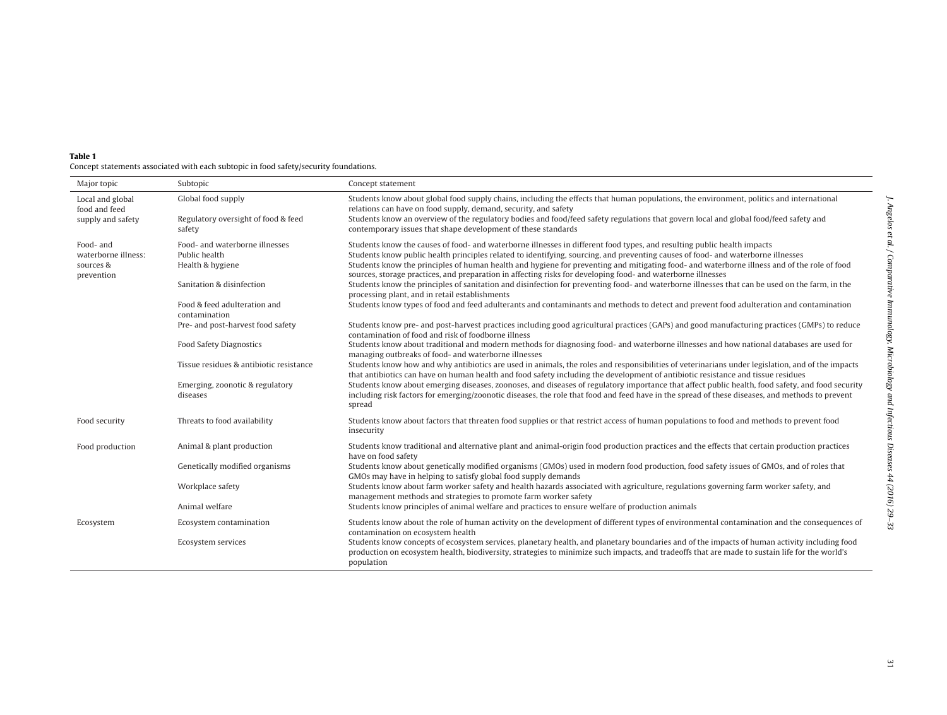#### <span id="page-2-0"></span>**Table 1** Concept statements associated with each subtopic in food safety/security foundations.

| Major topic                                                 | Subtopic                                                                                                                                               | Concept statement                                                                                                                                                                                                                                                                                                                                                                                                                                                                                                                                                                                                                                                                                                                                                                                                                                                                                                                                                                                                |
|-------------------------------------------------------------|--------------------------------------------------------------------------------------------------------------------------------------------------------|------------------------------------------------------------------------------------------------------------------------------------------------------------------------------------------------------------------------------------------------------------------------------------------------------------------------------------------------------------------------------------------------------------------------------------------------------------------------------------------------------------------------------------------------------------------------------------------------------------------------------------------------------------------------------------------------------------------------------------------------------------------------------------------------------------------------------------------------------------------------------------------------------------------------------------------------------------------------------------------------------------------|
| Local and global<br>food and feed<br>supply and safety      | Global food supply<br>Regulatory oversight of food & feed<br>safety                                                                                    | Students know about global food supply chains, including the effects that human populations, the environment, politics and international<br>relations can have on food supply, demand, security, and safety<br>Students know an overview of the regulatory bodies and food/feed safety regulations that govern local and global food/feed safety and<br>contemporary issues that shape development of these standards                                                                                                                                                                                                                                                                                                                                                                                                                                                                                                                                                                                            |
| Food- and<br>waterborne illness:<br>sources &<br>prevention | Food- and waterborne illnesses<br>Public health<br>Health & hygiene<br>Sanitation & disinfection<br>Food & feed adulteration and<br>contamination      | Students know the causes of food- and waterborne illnesses in different food types, and resulting public health impacts<br>Students know public health principles related to identifying, sourcing, and preventing causes of food- and waterborne illnesses<br>Students know the principles of human health and hygiene for preventing and mitigating food- and waterborne illness and of the role of food<br>sources, storage practices, and preparation in affecting risks for developing food- and waterborne illnesses<br>Students know the principles of sanitation and disinfection for preventing food- and waterborne illnesses that can be used on the farm, in the<br>processing plant, and in retail establishments<br>Students know types of food and feed adulterants and contaminants and methods to detect and prevent food adulteration and contamination                                                                                                                                        |
|                                                             | Pre- and post-harvest food safety<br>Food Safety Diagnostics<br>Tissue residues & antibiotic resistance<br>Emerging, zoonotic & regulatory<br>diseases | Students know pre- and post-harvest practices including good agricultural practices (GAPs) and good manufacturing practices (GMPs) to reduce<br>contamination of food and risk of foodborne illness<br>Students know about traditional and modern methods for diagnosing food- and waterborne illnesses and how national databases are used for<br>managing outbreaks of food- and waterborne illnesses<br>Students know how and why antibiotics are used in animals, the roles and responsibilities of veterinarians under legislation, and of the impacts<br>that antibiotics can have on human health and food safety including the development of antibiotic resistance and tissue residues<br>Students know about emerging diseases, zoonoses, and diseases of regulatory importance that affect public health, food safety, and food security<br>including risk factors for emerging/zoonotic diseases, the role that food and feed have in the spread of these diseases, and methods to prevent<br>spread |
| Food security                                               | Threats to food availability                                                                                                                           | Students know about factors that threaten food supplies or that restrict access of human populations to food and methods to prevent food<br>insecurity                                                                                                                                                                                                                                                                                                                                                                                                                                                                                                                                                                                                                                                                                                                                                                                                                                                           |
| Food production                                             | Animal & plant production<br>Genetically modified organisms<br>Workplace safety<br>Animal welfare                                                      | Students know traditional and alternative plant and animal-origin food production practices and the effects that certain production practices<br>have on food safety<br>Students know about genetically modified organisms (GMOs) used in modern food production, food safety issues of GMOs, and of roles that<br>GMOs may have in helping to satisfy global food supply demands<br>Students know about farm worker safety and health hazards associated with agriculture, regulations governing farm worker safety, and<br>management methods and strategies to promote farm worker safety<br>Students know principles of animal welfare and practices to ensure welfare of production animals                                                                                                                                                                                                                                                                                                                 |
| Ecosystem                                                   | Ecosystem contamination<br>Ecosystem services                                                                                                          | Students know about the role of human activity on the development of different types of environmental contamination and the consequences of<br>contamination on ecosystem health<br>Students know concepts of ecosystem services, planetary health, and planetary boundaries and of the impacts of human activity including food<br>production on ecosystem health, biodiversity, strategies to minimize such impacts, and tradeoffs that are made to sustain life for the world's<br>population                                                                                                                                                                                                                                                                                                                                                                                                                                                                                                                 |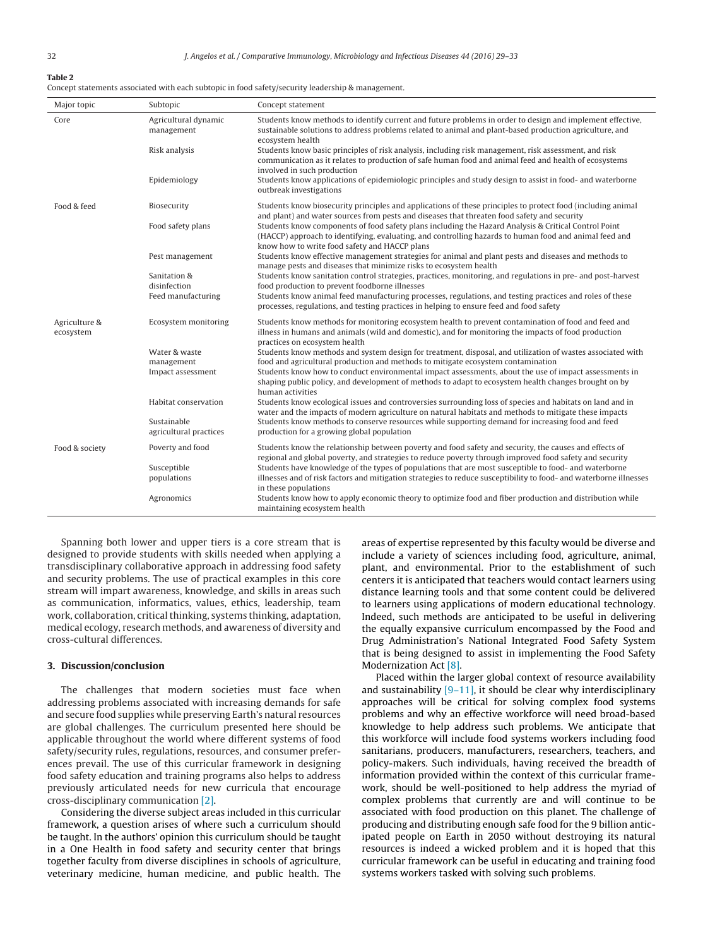#### **Table 2**

| Concept statements associated with each subtopic in food safety/security leadership & management. |  |  |  |  |
|---------------------------------------------------------------------------------------------------|--|--|--|--|
|---------------------------------------------------------------------------------------------------|--|--|--|--|

| Major topic                | Subtopic                              | Concept statement                                                                                                                                                                                                                                                                                                                                                                     |  |  |  |  |  |  |
|----------------------------|---------------------------------------|---------------------------------------------------------------------------------------------------------------------------------------------------------------------------------------------------------------------------------------------------------------------------------------------------------------------------------------------------------------------------------------|--|--|--|--|--|--|
| Core                       | Agricultural dynamic<br>management    | Students know methods to identify current and future problems in order to design and implement effective,<br>sustainable solutions to address problems related to animal and plant-based production agriculture, and<br>ecosystem health                                                                                                                                              |  |  |  |  |  |  |
|                            | Risk analysis<br>Epidemiology         | Students know basic principles of risk analysis, including risk management, risk assessment, and risk<br>communication as it relates to production of safe human food and animal feed and health of ecosystems<br>involved in such production<br>Students know applications of epidemiologic principles and study design to assist in food- and waterborne<br>outbreak investigations |  |  |  |  |  |  |
|                            |                                       |                                                                                                                                                                                                                                                                                                                                                                                       |  |  |  |  |  |  |
| Food & feed                | Biosecurity                           | Students know biosecurity principles and applications of these principles to protect food (including animal<br>and plant) and water sources from pests and diseases that threaten food safety and security                                                                                                                                                                            |  |  |  |  |  |  |
|                            | Food safety plans                     | Students know components of food safety plans including the Hazard Analysis & Critical Control Point<br>(HACCP) approach to identifying, evaluating, and controlling hazards to human food and animal feed and<br>know how to write food safety and HACCP plans                                                                                                                       |  |  |  |  |  |  |
|                            | Pest management                       | Students know effective management strategies for animal and plant pests and diseases and methods to<br>manage pests and diseases that minimize risks to ecosystem health                                                                                                                                                                                                             |  |  |  |  |  |  |
|                            | Sanitation &<br>disinfection          | Students know sanitation control strategies, practices, monitoring, and regulations in pre- and post-harvest<br>food production to prevent foodborne illnesses                                                                                                                                                                                                                        |  |  |  |  |  |  |
|                            | Feed manufacturing                    | Students know animal feed manufacturing processes, regulations, and testing practices and roles of these<br>processes, regulations, and testing practices in helping to ensure feed and food safety                                                                                                                                                                                   |  |  |  |  |  |  |
| Agriculture &<br>ecosystem | Ecosystem monitoring                  | Students know methods for monitoring ecosystem health to prevent contamination of food and feed and<br>illness in humans and animals (wild and domestic), and for monitoring the impacts of food production<br>practices on ecosystem health                                                                                                                                          |  |  |  |  |  |  |
|                            | Water & waste<br>management           | Students know methods and system design for treatment, disposal, and utilization of wastes associated with<br>food and agricultural production and methods to mitigate ecosystem contamination                                                                                                                                                                                        |  |  |  |  |  |  |
|                            | Impact assessment                     | Students know how to conduct environmental impact assessments, about the use of impact assessments in<br>shaping public policy, and development of methods to adapt to ecosystem health changes brought on by<br>human activities                                                                                                                                                     |  |  |  |  |  |  |
|                            | Habitat conservation                  | Students know ecological issues and controversies surrounding loss of species and habitats on land and in<br>water and the impacts of modern agriculture on natural habitats and methods to mitigate these impacts                                                                                                                                                                    |  |  |  |  |  |  |
|                            | Sustainable<br>agricultural practices | Students know methods to conserve resources while supporting demand for increasing food and feed<br>production for a growing global population                                                                                                                                                                                                                                        |  |  |  |  |  |  |
| Food & society             | Poverty and food                      | Students know the relationship between poverty and food safety and security, the causes and effects of<br>regional and global poverty, and strategies to reduce poverty through improved food safety and security                                                                                                                                                                     |  |  |  |  |  |  |
|                            | Susceptible<br>populations            | Students have knowledge of the types of populations that are most susceptible to food- and waterborne<br>illnesses and of risk factors and mitigation strategies to reduce susceptibility to food- and waterborne illnesses<br>in these populations                                                                                                                                   |  |  |  |  |  |  |
|                            | Agronomics                            | Students know how to apply economic theory to optimize food and fiber production and distribution while<br>maintaining ecosystem health                                                                                                                                                                                                                                               |  |  |  |  |  |  |

Spanning both lower and upper tiers is a core stream that is designed to provide students with skills needed when applying a transdisciplinary collaborative approach in addressing food safety and security problems. The use of practical examples in this core stream will impart awareness, knowledge, and skills in areas such as communication, informatics, values, ethics, leadership, team work, collaboration, critical thinking, systems thinking, adaptation, medical ecology, research methods, and awareness of diversity and cross-cultural differences.

### **3. Discussion/conclusion**

The challenges that modern societies must face when addressing problems associated with increasing demands for safe and secure food supplies while preserving Earth's natural resources are global challenges. The curriculum presented here should be applicable throughout the world where different systems of food safety/security rules, regulations, resources, and consumer preferences prevail. The use of this curricular framework in designing food safety education and training programs also helps to address previously articulated needs for new curricula that encourage cross-disciplinary communication [\[2\].](#page-4-0)

Considering the diverse subject areas included in this curricular framework, a question arises of where such a curriculum should be taught. In the authors' opinion this curriculum should be taught in a One Health in food safety and security center that brings together faculty from diverse disciplines in schools of agriculture, veterinary medicine, human medicine, and public health. The

areas of expertise represented by this faculty would be diverse and include a variety of sciences including food, agriculture, animal, plant, and environmental. Prior to the establishment of such centers it is anticipated that teachers would contact learners using distance learning tools and that some content could be delivered to learners using applications of modern educational technology. Indeed, such methods are anticipated to be useful in delivering the equally expansive curriculum encompassed by the Food and Drug Administration's National Integrated Food Safety System that is being designed to assist in implementing the Food Safety Modernization Act [\[8\].](#page-4-0)

Placed within the larger global context of resource availability and sustainability  $[9-11]$ , it should be clear why interdisciplinary approaches will be critical for solving complex food systems problems and why an effective workforce will need broad-based knowledge to help address such problems. We anticipate that this workforce will include food systems workers including food sanitarians, producers, manufacturers, researchers, teachers, and policy-makers. Such individuals, having received the breadth of information provided within the context of this curricular framework, should be well-positioned to help address the myriad of complex problems that currently are and will continue to be associated with food production on this planet. The challenge of producing and distributing enough safe food for the 9 billion anticipated people on Earth in 2050 without destroying its natural resources is indeed a wicked problem and it is hoped that this curricular framework can be useful in educating and training food systems workers tasked with solving such problems.